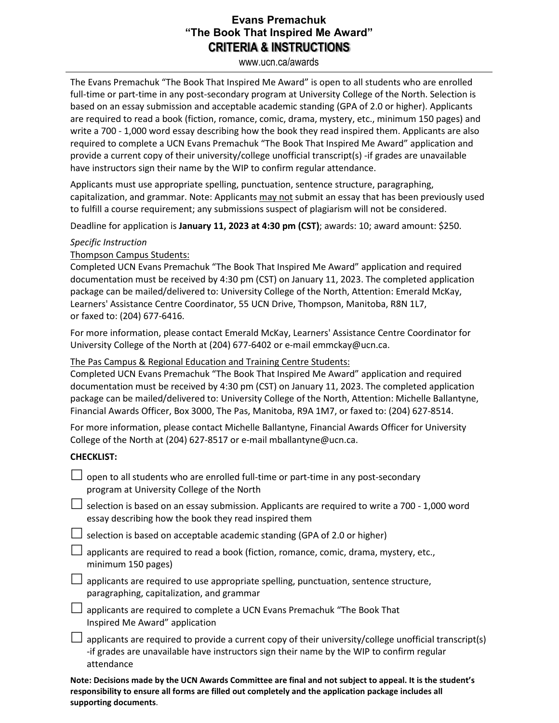## **Evans Premachuk "The Book That Inspired Me Award" CRITERIA & INSTRUCTIONS**

www.ucn.ca/awards

The Evans Premachuk "The Book That Inspired Me Award" is open to all students who are enrolled full-time or part-time in any post-secondary program at University College of the North. Selection is based on an essay submission and acceptable academic standing (GPA of 2.0 or higher). Applicants are required to read a book (fiction, romance, comic, drama, mystery, etc., minimum 150 pages) and write a 700 - 1,000 word essay describing how the book they read inspired them. Applicants are also required to complete a UCN Evans Premachuk "The Book That Inspired Me Award" application and provide a current copy of their university/college unofficial transcript(s) -if grades are unavailable have instructors sign their name by the WIP to confirm regular attendance.

Applicants must use appropriate spelling, punctuation, sentence structure, paragraphing, capitalization, and grammar. Note: Applicants may not submit an essay that has been previously used to fulfill a course requirement; any submissions suspect of plagiarism will not be considered.

Deadline for application is January 11, 2023 at 4:30 pm (CST); awards: 10; award amount: \$250.

#### *Specific Instruction*

Thompson Campus Students:

Completed UCN Evans Premachuk "The Book That Inspired Me Award" application and required documentation must be received by 4:30 pm (CST) on January 11, 2023. The completed application package can be mailed/delivered to: University College of the North, Attention: Emerald McKay, Learners' Assistance Centre Coordinator, 55 UCN Drive, Thompson, Manitoba, R8N 1L7, or faxed to: (204) 677-6416.

For more information, please contact Emerald McKay, Learners' Assistance Centre Coordinator for University College of the North at (204) 677-6402 or e-mail emmckay@ucn.ca.

### The Pas Campus & Regional Education and Training Centre Students:

Completed UCN Evans Premachuk "The Book That Inspired Me Award" application and required documentation must be received by 4:30 pm (CST) on January 11, 2023. The completed application package can be mailed/delivered to: University College of the North, Attention: Michelle Ballantyne, Financial Awards Officer, Box 3000, The Pas, Manitoba, R9A 1M7, or faxed to: (204) 627-8514.

For more information, please contact Michelle Ballantyne, Financial Awards Officer for University College of the North at (204) 627-8517 or e-mail mballantyne@ucn.ca.

#### **CHECKLIST:**

attendance

| open to all students who are enrolled full-time or part-time in any post-secondary<br>program at University College of the North                                                                    |
|-----------------------------------------------------------------------------------------------------------------------------------------------------------------------------------------------------|
| $\Box$ selection is based on an essay submission. Applicants are required to write a 700 - 1,000 word<br>essay describing how the book they read inspired them                                      |
| $\Box$ selection is based on acceptable academic standing (GPA of 2.0 or higher)                                                                                                                    |
| $\Box$ applicants are required to read a book (fiction, romance, comic, drama, mystery, etc.,<br>minimum 150 pages)                                                                                 |
| $\Box$ applicants are required to use appropriate spelling, punctuation, sentence structure,<br>paragraphing, capitalization, and grammar                                                           |
| applicants are required to complete a UCN Evans Premachuk "The Book That<br>Inspired Me Award" application                                                                                          |
| applicants are required to provide a current copy of their university/college unofficial transcript(s)<br>-if grades are unavailable have instructors sign their name by the WIP to confirm regular |

**Note: Decisions made by the UCN Awards Committee are final and not subject to appeal. It is the student's responsibility to ensure all forms are filled out completely and the application package includes all supporting documents**.